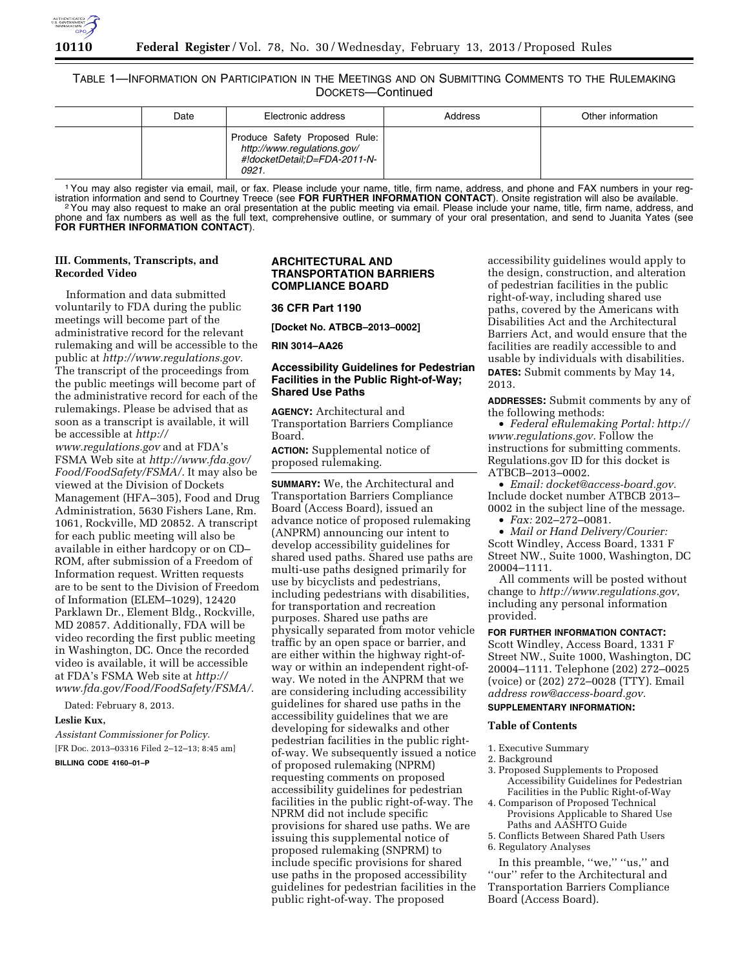

# TABLE 1—INFORMATION ON PARTICIPATION IN THE MEETINGS AND ON SUBMITTING COMMENTS TO THE RULEMAKING DOCKETS—Continued

| Date | Electronic address                                                                                    | Address | Other information |
|------|-------------------------------------------------------------------------------------------------------|---------|-------------------|
|      | Produce Safety Proposed Rule:<br>http://www.regulations.gov/<br>#!docketDetail:D=FDA-2011-N-<br>0921. |         |                   |

<sup>1</sup> You may also register via email, mail, or fax. Please include your name, title, firm name, address, and phone and FAX numbers in your reg-<br>istration information and send to Courtney Treece (see FOR FURTHER INFORMATION istration information and send to Courtney Treece (see FOR FURTHER INFORMATION CONTACT). Onsite registration will also be available.<br><sup>2</sup> You may also request to make an oral presentation at the public meeting via email. Pl phone and fax numbers as well as the full text, comprehensive outline, or summary of your oral presentation, and send to Juanita Yates (see **FOR FURTHER INFORMATION CONTACT**).

# **III. Comments, Transcripts, and Recorded Video**

Information and data submitted voluntarily to FDA during the public meetings will become part of the administrative record for the relevant rulemaking and will be accessible to the public at *[http://www.regulations.gov.](http://www.regulations.gov)*  The transcript of the proceedings from the public meetings will become part of the administrative record for each of the rulemakings. Please be advised that as soon as a transcript is available, it will be accessible at *[http://](http://www.regulations.gov)* 

*[www.regulations.gov](http://www.regulations.gov)* and at FDA's FSMA Web site at *[http://www.fda.gov/](http://www.fda.gov/Food/FoodSafety/FSMA/) [Food/FoodSafety/FSMA/.](http://www.fda.gov/Food/FoodSafety/FSMA/)* It may also be viewed at the Division of Dockets Management (HFA–305), Food and Drug Administration, 5630 Fishers Lane, Rm. 1061, Rockville, MD 20852. A transcript for each public meeting will also be available in either hardcopy or on CD– ROM, after submission of a Freedom of Information request. Written requests are to be sent to the Division of Freedom of Information (ELEM–1029), 12420 Parklawn Dr., Element Bldg., Rockville, MD 20857. Additionally, FDA will be video recording the first public meeting in Washington, DC. Once the recorded video is available, it will be accessible at FDA's FSMA Web site at *[http://](http://www.fda.gov/Food/FoodSafety/FSMA/) [www.fda.gov/Food/FoodSafety/FSMA/.](http://www.fda.gov/Food/FoodSafety/FSMA/)* 

Dated: February 8, 2013.

# **Leslie Kux,**

*Assistant Commissioner for Policy.*  [FR Doc. 2013–03316 Filed 2–12–13; 8:45 am] **BILLING CODE 4160–01–P** 

# **ARCHITECTURAL AND TRANSPORTATION BARRIERS COMPLIANCE BOARD**

#### **36 CFR Part 1190**

**[Docket No. ATBCB–2013–0002]** 

**RIN 3014–AA26** 

# **Accessibility Guidelines for Pedestrian Facilities in the Public Right-of-Way; Shared Use Paths**

**AGENCY:** Architectural and Transportation Barriers Compliance Board.

**ACTION:** Supplemental notice of proposed rulemaking.

**SUMMARY:** We, the Architectural and Transportation Barriers Compliance Board (Access Board), issued an advance notice of proposed rulemaking (ANPRM) announcing our intent to develop accessibility guidelines for shared used paths. Shared use paths are multi-use paths designed primarily for use by bicyclists and pedestrians, including pedestrians with disabilities, for transportation and recreation purposes. Shared use paths are physically separated from motor vehicle traffic by an open space or barrier, and are either within the highway right-ofway or within an independent right-ofway. We noted in the ANPRM that we are considering including accessibility guidelines for shared use paths in the accessibility guidelines that we are developing for sidewalks and other pedestrian facilities in the public rightof-way. We subsequently issued a notice of proposed rulemaking (NPRM) requesting comments on proposed accessibility guidelines for pedestrian facilities in the public right-of-way. The NPRM did not include specific provisions for shared use paths. We are issuing this supplemental notice of proposed rulemaking (SNPRM) to include specific provisions for shared use paths in the proposed accessibility guidelines for pedestrian facilities in the public right-of-way. The proposed

accessibility guidelines would apply to the design, construction, and alteration of pedestrian facilities in the public right-of-way, including shared use paths, covered by the Americans with Disabilities Act and the Architectural Barriers Act, and would ensure that the facilities are readily accessible to and usable by individuals with disabilities. **DATES:** Submit comments by May 14, 2013.

**ADDRESSES:** Submit comments by any of the following methods:

• *Federal eRulemaking Portal: [http://](http://www.regulations.gov)  [www.regulations.gov.](http://www.regulations.gov)* Follow the instructions for submitting comments. Regulations.gov ID for this docket is ATBCB–2013–0002.

• *Email: [docket@access-board.gov.](mailto:docket@access-board.gov)*  Include docket number ATBCB 2013– 0002 in the subject line of the message. • *Fax:* 202–272–0081.

• *Mail or Hand Delivery/Courier:*  Scott Windley, Access Board, 1331 F Street NW., Suite 1000, Washington, DC 20004–1111.

All comments will be posted without change to *<http://www.regulations.gov>*, including any personal information provided.

# **FOR FURTHER INFORMATION CONTACT:**

Scott Windley, Access Board, 1331 F Street NW., Suite 1000, Washington, DC 20004–1111. Telephone (202) 272–0025 (voice) or (202) 272–0028 (TTY). Email *addres[s row@access-board.gov.](mailto:row@access-board.gov)*  **SUPPLEMENTARY INFORMATION:** 

## **Table of Contents**

1. Executive Summary

- 2. Background
- 3. Proposed Supplements to Proposed Accessibility Guidelines for Pedestrian Facilities in the Public Right-of-Way
- 4. Comparison of Proposed Technical Provisions Applicable to Shared Use Paths and AASHTO Guide

5. Conflicts Between Shared Path Users 6. Regulatory Analyses

In this preamble, "we," "us," and ''our'' refer to the Architectural and Transportation Barriers Compliance Board (Access Board).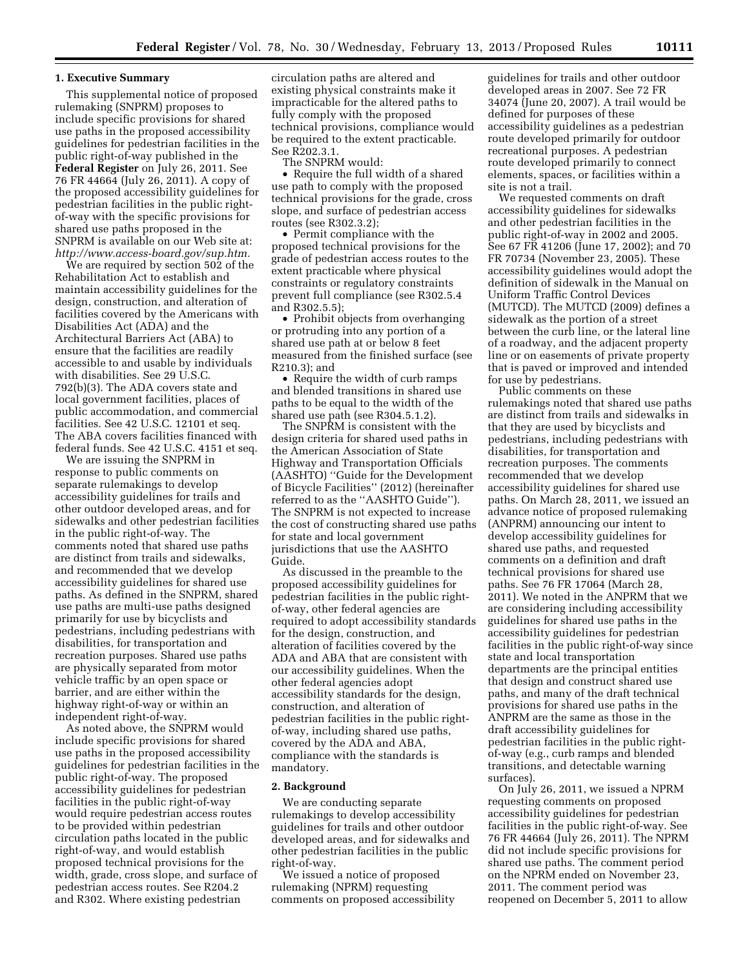## **1. Executive Summary**

This supplemental notice of proposed rulemaking (SNPRM) proposes to include specific provisions for shared use paths in the proposed accessibility guidelines for pedestrian facilities in the public right-of-way published in the **Federal Register** on July 26, 2011. See 76 FR 44664 (July 26, 2011). A copy of the proposed accessibility guidelines for pedestrian facilities in the public rightof-way with the specific provisions for shared use paths proposed in the SNPRM is available on our Web site at: *[http://www.access-board.gov/sup.htm.](http://www.access-board.gov/sup.htm)* 

We are required by section 502 of the Rehabilitation Act to establish and maintain accessibility guidelines for the design, construction, and alteration of facilities covered by the Americans with Disabilities Act (ADA) and the Architectural Barriers Act (ABA) to ensure that the facilities are readily accessible to and usable by individuals with disabilities. See 29 U.S.C. 792(b)(3). The ADA covers state and local government facilities, places of public accommodation, and commercial facilities. See 42 U.S.C. 12101 et seq. The ABA covers facilities financed with federal funds. See 42 U.S.C. 4151 et seq.

We are issuing the SNPRM in response to public comments on separate rulemakings to develop accessibility guidelines for trails and other outdoor developed areas, and for sidewalks and other pedestrian facilities in the public right-of-way. The comments noted that shared use paths are distinct from trails and sidewalks, and recommended that we develop accessibility guidelines for shared use paths. As defined in the SNPRM, shared use paths are multi-use paths designed primarily for use by bicyclists and pedestrians, including pedestrians with disabilities, for transportation and recreation purposes. Shared use paths are physically separated from motor vehicle traffic by an open space or barrier, and are either within the highway right-of-way or within an independent right-of-way.

As noted above, the SNPRM would include specific provisions for shared use paths in the proposed accessibility guidelines for pedestrian facilities in the public right-of-way. The proposed accessibility guidelines for pedestrian facilities in the public right-of-way would require pedestrian access routes to be provided within pedestrian circulation paths located in the public right-of-way, and would establish proposed technical provisions for the width, grade, cross slope, and surface of pedestrian access routes. See R204.2 and R302. Where existing pedestrian

circulation paths are altered and existing physical constraints make it impracticable for the altered paths to fully comply with the proposed technical provisions, compliance would be required to the extent practicable. See R202.3.1.

The SNPRM would:

• Require the full width of a shared use path to comply with the proposed technical provisions for the grade, cross slope, and surface of pedestrian access routes (see R302.3.2);

• Permit compliance with the proposed technical provisions for the grade of pedestrian access routes to the extent practicable where physical constraints or regulatory constraints prevent full compliance (see R302.5.4 and R302.5.5);

• Prohibit objects from overhanging or protruding into any portion of a shared use path at or below 8 feet measured from the finished surface (see R210.3); and

• Require the width of curb ramps and blended transitions in shared use paths to be equal to the width of the shared use path (see R304.5.1.2).

The SNPRM is consistent with the design criteria for shared used paths in the American Association of State Highway and Transportation Officials (AASHTO) ''Guide for the Development of Bicycle Facilities'' (2012) (hereinafter referred to as the ''AASHTO Guide''). The SNPRM is not expected to increase the cost of constructing shared use paths for state and local government jurisdictions that use the AASHTO Guide.

As discussed in the preamble to the proposed accessibility guidelines for pedestrian facilities in the public rightof-way, other federal agencies are required to adopt accessibility standards for the design, construction, and alteration of facilities covered by the ADA and ABA that are consistent with our accessibility guidelines. When the other federal agencies adopt accessibility standards for the design, construction, and alteration of pedestrian facilities in the public rightof-way, including shared use paths, covered by the ADA and ABA, compliance with the standards is mandatory.

#### **2. Background**

We are conducting separate rulemakings to develop accessibility guidelines for trails and other outdoor developed areas, and for sidewalks and other pedestrian facilities in the public right-of-way.

We issued a notice of proposed rulemaking (NPRM) requesting comments on proposed accessibility

guidelines for trails and other outdoor developed areas in 2007. See 72 FR 34074 (June 20, 2007). A trail would be defined for purposes of these accessibility guidelines as a pedestrian route developed primarily for outdoor recreational purposes. A pedestrian route developed primarily to connect elements, spaces, or facilities within a site is not a trail.

We requested comments on draft accessibility guidelines for sidewalks and other pedestrian facilities in the public right-of-way in 2002 and 2005. See 67 FR 41206 (June 17, 2002); and 70 FR 70734 (November 23, 2005). These accessibility guidelines would adopt the definition of sidewalk in the Manual on Uniform Traffic Control Devices (MUTCD). The MUTCD (2009) defines a sidewalk as the portion of a street between the curb line, or the lateral line of a roadway, and the adjacent property line or on easements of private property that is paved or improved and intended for use by pedestrians.

Public comments on these rulemakings noted that shared use paths are distinct from trails and sidewalks in that they are used by bicyclists and pedestrians, including pedestrians with disabilities, for transportation and recreation purposes. The comments recommended that we develop accessibility guidelines for shared use paths. On March 28, 2011, we issued an advance notice of proposed rulemaking (ANPRM) announcing our intent to develop accessibility guidelines for shared use paths, and requested comments on a definition and draft technical provisions for shared use paths. See 76 FR 17064 (March 28, 2011). We noted in the ANPRM that we are considering including accessibility guidelines for shared use paths in the accessibility guidelines for pedestrian facilities in the public right-of-way since state and local transportation departments are the principal entities that design and construct shared use paths, and many of the draft technical provisions for shared use paths in the ANPRM are the same as those in the draft accessibility guidelines for pedestrian facilities in the public rightof-way (e.g., curb ramps and blended transitions, and detectable warning surfaces).

On July 26, 2011, we issued a NPRM requesting comments on proposed accessibility guidelines for pedestrian facilities in the public right-of-way. See 76 FR 44664 (July 26, 2011). The NPRM did not include specific provisions for shared use paths. The comment period on the NPRM ended on November 23, 2011. The comment period was reopened on December 5, 2011 to allow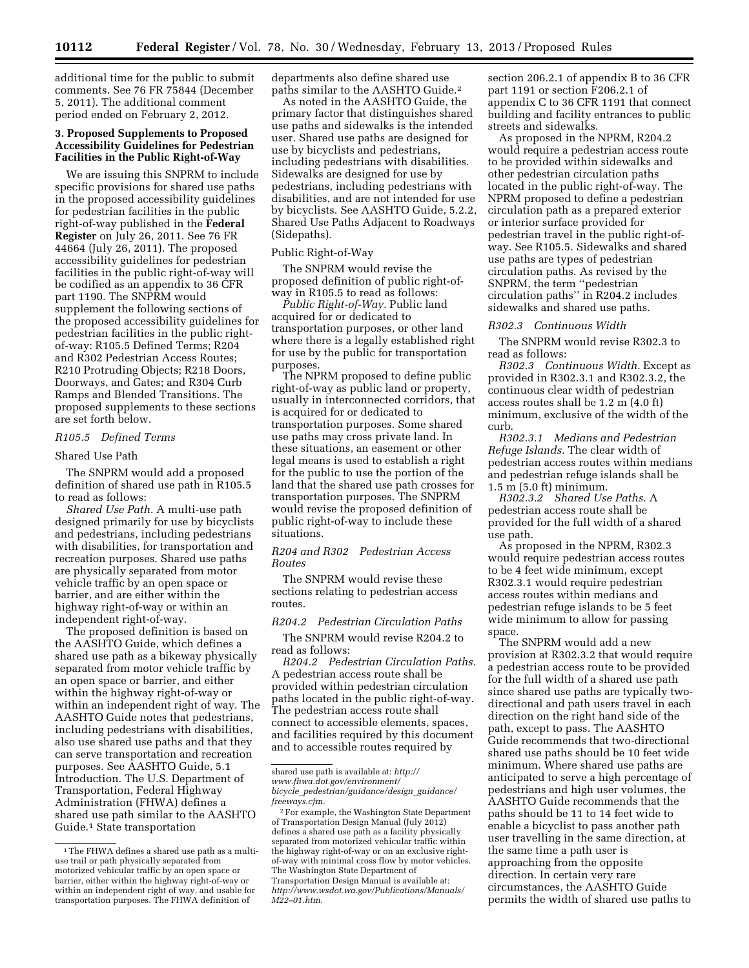additional time for the public to submit comments. See 76 FR 75844 (December 5, 2011). The additional comment period ended on February 2, 2012.

# **3. Proposed Supplements to Proposed Accessibility Guidelines for Pedestrian Facilities in the Public Right-of-Way**

We are issuing this SNPRM to include specific provisions for shared use paths in the proposed accessibility guidelines for pedestrian facilities in the public right-of-way published in the **Federal Register** on July 26, 2011. See 76 FR 44664 (July 26, 2011). The proposed accessibility guidelines for pedestrian facilities in the public right-of-way will be codified as an appendix to 36 CFR part 1190. The SNPRM would supplement the following sections of the proposed accessibility guidelines for pedestrian facilities in the public rightof-way: R105.5 Defined Terms; R204 and R302 Pedestrian Access Routes; R210 Protruding Objects; R218 Doors, Doorways, and Gates; and R304 Curb Ramps and Blended Transitions. The proposed supplements to these sections are set forth below.

# *R105.5 Defined Terms*

# Shared Use Path

The SNPRM would add a proposed definition of shared use path in R105.5 to read as follows:

*Shared Use Path.* A multi-use path designed primarily for use by bicyclists and pedestrians, including pedestrians with disabilities, for transportation and recreation purposes. Shared use paths are physically separated from motor vehicle traffic by an open space or barrier, and are either within the highway right-of-way or within an independent right-of-way.

The proposed definition is based on the AASHTO Guide, which defines a shared use path as a bikeway physically separated from motor vehicle traffic by an open space or barrier, and either within the highway right-of-way or within an independent right of way. The AASHTO Guide notes that pedestrians, including pedestrians with disabilities, also use shared use paths and that they can serve transportation and recreation purposes. See AASHTO Guide, 5.1 Introduction. The U.S. Department of Transportation, Federal Highway Administration (FHWA) defines a shared use path similar to the AASHTO Guide.1 State transportation

departments also define shared use paths similar to the AASHTO Guide.2

As noted in the AASHTO Guide, the primary factor that distinguishes shared use paths and sidewalks is the intended user. Shared use paths are designed for use by bicyclists and pedestrians, including pedestrians with disabilities. Sidewalks are designed for use by pedestrians, including pedestrians with disabilities, and are not intended for use by bicyclists. See AASHTO Guide, 5.2.2, Shared Use Paths Adjacent to Roadways (Sidepaths).

### Public Right-of-Way

The SNPRM would revise the proposed definition of public right-ofway in R105.5 to read as follows:

*Public Right-of-Way.* Public land acquired for or dedicated to transportation purposes, or other land where there is a legally established right for use by the public for transportation purposes.

The NPRM proposed to define public right-of-way as public land or property, usually in interconnected corridors, that is acquired for or dedicated to transportation purposes. Some shared use paths may cross private land. In these situations, an easement or other legal means is used to establish a right for the public to use the portion of the land that the shared use path crosses for transportation purposes. The SNPRM would revise the proposed definition of public right-of-way to include these situations.

## *R204 and R302 Pedestrian Access Routes*

The SNPRM would revise these sections relating to pedestrian access routes.

#### *R204.2 Pedestrian Circulation Paths*

The SNPRM would revise R204.2 to read as follows:

*R204.2 Pedestrian Circulation Paths.*  A pedestrian access route shall be provided within pedestrian circulation paths located in the public right-of-way. The pedestrian access route shall connect to accessible elements, spaces, and facilities required by this document and to accessible routes required by

section 206.2.1 of appendix B to 36 CFR part 1191 or section F206.2.1 of appendix C to 36 CFR 1191 that connect building and facility entrances to public streets and sidewalks.

As proposed in the NPRM, R204.2 would require a pedestrian access route to be provided within sidewalks and other pedestrian circulation paths located in the public right-of-way. The NPRM proposed to define a pedestrian circulation path as a prepared exterior or interior surface provided for pedestrian travel in the public right-ofway. See R105.5. Sidewalks and shared use paths are types of pedestrian circulation paths. As revised by the SNPRM, the term ''pedestrian circulation paths'' in R204.2 includes sidewalks and shared use paths.

#### *R302.3 Continuous Width*

The SNPRM would revise R302.3 to read as follows:

*R302.3 Continuous Width.* Except as provided in R302.3.1 and R302.3.2, the continuous clear width of pedestrian access routes shall be 1.2 m (4.0 ft) minimum, exclusive of the width of the curb.

*R302.3.1 Medians and Pedestrian Refuge Islands.* The clear width of pedestrian access routes within medians and pedestrian refuge islands shall be 1.5 m (5.0 ft) minimum.

*R302.3.2 Shared Use Paths.* A pedestrian access route shall be provided for the full width of a shared use path.

As proposed in the NPRM, R302.3 would require pedestrian access routes to be 4 feet wide minimum, except R302.3.1 would require pedestrian access routes within medians and pedestrian refuge islands to be 5 feet wide minimum to allow for passing space.

The SNPRM would add a new provision at R302.3.2 that would require a pedestrian access route to be provided for the full width of a shared use path since shared use paths are typically twodirectional and path users travel in each direction on the right hand side of the path, except to pass. The AASHTO Guide recommends that two-directional shared use paths should be 10 feet wide minimum. Where shared use paths are anticipated to serve a high percentage of pedestrians and high user volumes, the AASHTO Guide recommends that the paths should be 11 to 14 feet wide to enable a bicyclist to pass another path user travelling in the same direction, at the same time a path user is approaching from the opposite direction. In certain very rare circumstances, the AASHTO Guide permits the width of shared use paths to

<sup>&</sup>lt;sup>1</sup>The FHWA defines a shared use path as a multiuse trail or path physically separated from motorized vehicular traffic by an open space or barrier, either within the highway right-of-way or within an independent right of way, and usable for transportation purposes. The FHWA definition of

shared use path is available at: *[http://](http://www.fhwa.dot.gov/environment/bicycle_pedestrian/guidance/design_guidance/freeways.cfm)  [www.fhwa.dot.gov/environment/](http://www.fhwa.dot.gov/environment/bicycle_pedestrian/guidance/design_guidance/freeways.cfm) bicycle*\_*[pedestrian/guidance/design](http://www.fhwa.dot.gov/environment/bicycle_pedestrian/guidance/design_guidance/freeways.cfm)*\_*guidance/ [freeways.cfm.](http://www.fhwa.dot.gov/environment/bicycle_pedestrian/guidance/design_guidance/freeways.cfm)* 

<sup>2</sup>For example, the Washington State Department of Transportation Design Manual (July 2012) defines a shared use path as a facility physically separated from motorized vehicular traffic within the highway right-of-way or on an exclusive rightof-way with minimal cross flow by motor vehicles. The Washington State Department of Transportation Design Manual is available at: *[http://www.wsdot.wa.gov/Publications/Manuals/](http://www.wsdot.wa.gov/Publications/Manuals/M22-01.htm)  [M22–01.htm.](http://www.wsdot.wa.gov/Publications/Manuals/M22-01.htm)*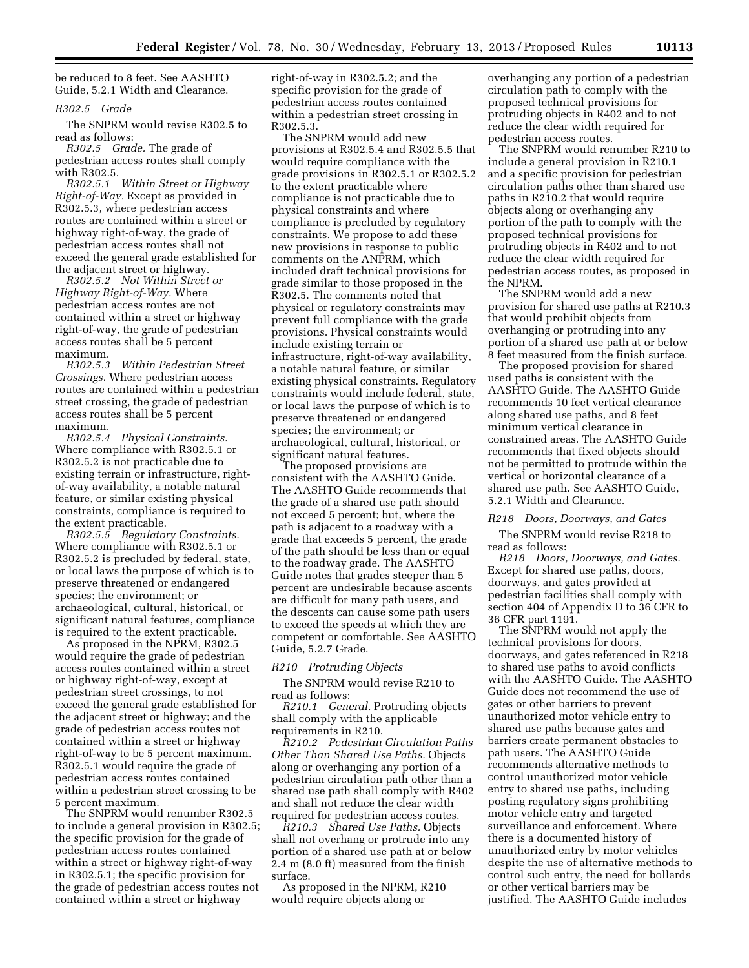be reduced to 8 feet. See AASHTO Guide, 5.2.1 Width and Clearance.

### *R302.5 Grade*

The SNPRM would revise R302.5 to read as follows:

*R302.5 Grade.* The grade of pedestrian access routes shall comply with R302.5.

*R302.5.1 Within Street or Highway Right-of-Way.* Except as provided in R302.5.3, where pedestrian access routes are contained within a street or highway right-of-way, the grade of pedestrian access routes shall not exceed the general grade established for the adjacent street or highway.

*R302.5.2 Not Within Street or Highway Right-of-Way.* Where pedestrian access routes are not contained within a street or highway right-of-way, the grade of pedestrian access routes shall be 5 percent maximum.

*R302.5.3 Within Pedestrian Street Crossings.* Where pedestrian access routes are contained within a pedestrian street crossing, the grade of pedestrian access routes shall be 5 percent maximum.

*R302.5.4 Physical Constraints.*  Where compliance with R302.5.1 or R302.5.2 is not practicable due to existing terrain or infrastructure, rightof-way availability, a notable natural feature, or similar existing physical constraints, compliance is required to the extent practicable.

*R302.5.5 Regulatory Constraints.*  Where compliance with R302.5.1 or R302.5.2 is precluded by federal, state, or local laws the purpose of which is to preserve threatened or endangered species; the environment; or archaeological, cultural, historical, or significant natural features, compliance is required to the extent practicable.

As proposed in the NPRM, R302.5 would require the grade of pedestrian access routes contained within a street or highway right-of-way, except at pedestrian street crossings, to not exceed the general grade established for the adjacent street or highway; and the grade of pedestrian access routes not contained within a street or highway right-of-way to be 5 percent maximum. R302.5.1 would require the grade of pedestrian access routes contained within a pedestrian street crossing to be 5 percent maximum.

The SNPRM would renumber R302.5 to include a general provision in R302.5; the specific provision for the grade of pedestrian access routes contained within a street or highway right-of-way in R302.5.1; the specific provision for the grade of pedestrian access routes not contained within a street or highway

right-of-way in R302.5.2; and the specific provision for the grade of pedestrian access routes contained within a pedestrian street crossing in R302.5.3.

The SNPRM would add new provisions at R302.5.4 and R302.5.5 that would require compliance with the grade provisions in R302.5.1 or R302.5.2 to the extent practicable where compliance is not practicable due to physical constraints and where compliance is precluded by regulatory constraints. We propose to add these new provisions in response to public comments on the ANPRM, which included draft technical provisions for grade similar to those proposed in the R302.5. The comments noted that physical or regulatory constraints may prevent full compliance with the grade provisions. Physical constraints would include existing terrain or infrastructure, right-of-way availability, a notable natural feature, or similar existing physical constraints. Regulatory constraints would include federal, state, or local laws the purpose of which is to preserve threatened or endangered species; the environment; or archaeological, cultural, historical, or significant natural features.

The proposed provisions are consistent with the AASHTO Guide. The AASHTO Guide recommends that the grade of a shared use path should not exceed 5 percent; but, where the path is adjacent to a roadway with a grade that exceeds 5 percent, the grade of the path should be less than or equal to the roadway grade. The AASHTO Guide notes that grades steeper than 5 percent are undesirable because ascents are difficult for many path users, and the descents can cause some path users to exceed the speeds at which they are competent or comfortable. See AASHTO Guide, 5.2.7 Grade.

## *R210 Protruding Objects*

The SNPRM would revise R210 to read as follows:

*R210.1 General.* Protruding objects shall comply with the applicable requirements in R210.

*R210.2 Pedestrian Circulation Paths Other Than Shared Use Paths.* Objects along or overhanging any portion of a pedestrian circulation path other than a shared use path shall comply with R402 and shall not reduce the clear width required for pedestrian access routes.

*R210.3 Shared Use Paths.* Objects shall not overhang or protrude into any portion of a shared use path at or below 2.4 m (8.0 ft) measured from the finish surface.

As proposed in the NPRM, R210 would require objects along or

overhanging any portion of a pedestrian circulation path to comply with the proposed technical provisions for protruding objects in R402 and to not reduce the clear width required for pedestrian access routes.

The SNPRM would renumber R210 to include a general provision in R210.1 and a specific provision for pedestrian circulation paths other than shared use paths in R210.2 that would require objects along or overhanging any portion of the path to comply with the proposed technical provisions for protruding objects in R402 and to not reduce the clear width required for pedestrian access routes, as proposed in the NPRM.

The SNPRM would add a new provision for shared use paths at R210.3 that would prohibit objects from overhanging or protruding into any portion of a shared use path at or below 8 feet measured from the finish surface.

The proposed provision for shared used paths is consistent with the AASHTO Guide. The AASHTO Guide recommends 10 feet vertical clearance along shared use paths, and 8 feet minimum vertical clearance in constrained areas. The AASHTO Guide recommends that fixed objects should not be permitted to protrude within the vertical or horizontal clearance of a shared use path. See AASHTO Guide, 5.2.1 Width and Clearance.

#### *R218 Doors, Doorways, and Gates*

The SNPRM would revise R218 to read as follows:

*R218 Doors, Doorways, and Gates.*  Except for shared use paths, doors, doorways, and gates provided at pedestrian facilities shall comply with section 404 of Appendix D to 36 CFR to 36 CFR part 1191.

The SNPRM would not apply the technical provisions for doors, doorways, and gates referenced in R218 to shared use paths to avoid conflicts with the AASHTO Guide. The AASHTO Guide does not recommend the use of gates or other barriers to prevent unauthorized motor vehicle entry to shared use paths because gates and barriers create permanent obstacles to path users. The AASHTO Guide recommends alternative methods to control unauthorized motor vehicle entry to shared use paths, including posting regulatory signs prohibiting motor vehicle entry and targeted surveillance and enforcement. Where there is a documented history of unauthorized entry by motor vehicles despite the use of alternative methods to control such entry, the need for bollards or other vertical barriers may be justified. The AASHTO Guide includes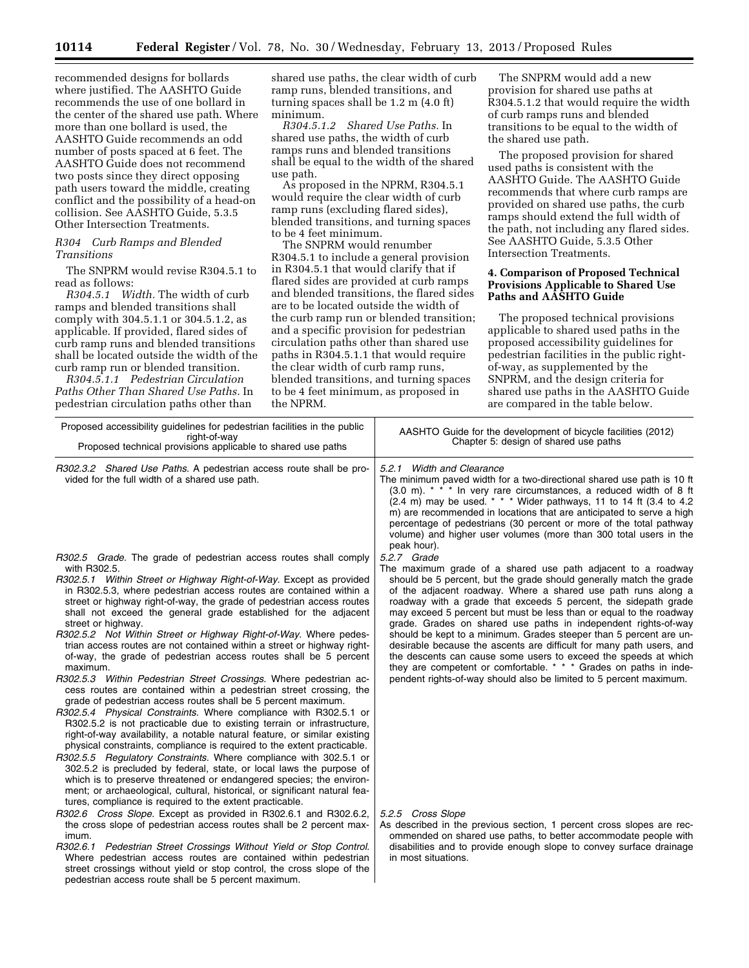recommended designs for bollards where justified. The AASHTO Guide recommends the use of one bollard in the center of the shared use path. Where more than one bollard is used, the AASHTO Guide recommends an odd number of posts spaced at 6 feet. The AASHTO Guide does not recommend two posts since they direct opposing path users toward the middle, creating conflict and the possibility of a head-on collision. See AASHTO Guide, 5.3.5 Other Intersection Treatments.

## *R304 Curb Ramps and Blended Transitions*

The SNPRM would revise R304.5.1 to read as follows:

*R304.5.1 Width.* The width of curb ramps and blended transitions shall comply with 304.5.1.1 or 304.5.1.2, as applicable. If provided, flared sides of curb ramp runs and blended transitions shall be located outside the width of the curb ramp run or blended transition.

*R304.5.1.1 Pedestrian Circulation Paths Other Than Shared Use Paths.* In pedestrian circulation paths other than

shared use paths, the clear width of curb ramp runs, blended transitions, and turning spaces shall be 1.2 m (4.0 ft) minimum.

*R304.5.1.2 Shared Use Paths.* In shared use paths, the width of curb ramps runs and blended transitions shall be equal to the width of the shared use path.

As proposed in the NPRM, R304.5.1 would require the clear width of curb ramp runs (excluding flared sides), blended transitions, and turning spaces to be 4 feet minimum.

The SNPRM would renumber R304.5.1 to include a general provision in R304.5.1 that would clarify that if flared sides are provided at curb ramps and blended transitions, the flared sides are to be located outside the width of the curb ramp run or blended transition; and a specific provision for pedestrian circulation paths other than shared use paths in R304.5.1.1 that would require the clear width of curb ramp runs, blended transitions, and turning spaces to be 4 feet minimum, as proposed in the NPRM.

The SNPRM would add a new provision for shared use paths at R304.5.1.2 that would require the width of curb ramps runs and blended transitions to be equal to the width of the shared use path.

The proposed provision for shared used paths is consistent with the AASHTO Guide. The AASHTO Guide recommends that where curb ramps are provided on shared use paths, the curb ramps should extend the full width of the path, not including any flared sides. See AASHTO Guide, 5.3.5 Other Intersection Treatments.

# **4. Comparison of Proposed Technical Provisions Applicable to Shared Use Paths and AASHTO Guide**

The proposed technical provisions applicable to shared used paths in the proposed accessibility guidelines for pedestrian facilities in the public rightof-way, as supplemented by the SNPRM, and the design criteria for shared use paths in the AASHTO Guide are compared in the table below.

| Proposed accessibility guidelines for pedestrian facilities in the public<br>right-of-way<br>Proposed technical provisions applicable to shared use paths                                                                                                                                                                                                                                                                                                                                                                                                                                                                                                                                                                                                                                                                                                                                                                                                                                                                                                                                                                                                                                                                                                                                                                                                                                                                                         | AASHTO Guide for the development of bicycle facilities (2012)<br>Chapter 5: design of shared use paths                                                                                                                                                                                                                                                                                                                                                                                                                                                                                                                                                                                                                                                                                     |  |
|---------------------------------------------------------------------------------------------------------------------------------------------------------------------------------------------------------------------------------------------------------------------------------------------------------------------------------------------------------------------------------------------------------------------------------------------------------------------------------------------------------------------------------------------------------------------------------------------------------------------------------------------------------------------------------------------------------------------------------------------------------------------------------------------------------------------------------------------------------------------------------------------------------------------------------------------------------------------------------------------------------------------------------------------------------------------------------------------------------------------------------------------------------------------------------------------------------------------------------------------------------------------------------------------------------------------------------------------------------------------------------------------------------------------------------------------------|--------------------------------------------------------------------------------------------------------------------------------------------------------------------------------------------------------------------------------------------------------------------------------------------------------------------------------------------------------------------------------------------------------------------------------------------------------------------------------------------------------------------------------------------------------------------------------------------------------------------------------------------------------------------------------------------------------------------------------------------------------------------------------------------|--|
| R302.3.2 Shared Use Paths. A pedestrian access route shall be pro-<br>vided for the full width of a shared use path.                                                                                                                                                                                                                                                                                                                                                                                                                                                                                                                                                                                                                                                                                                                                                                                                                                                                                                                                                                                                                                                                                                                                                                                                                                                                                                                              | 5.2.1 Width and Clearance<br>The minimum paved width for a two-directional shared use path is 10 ft<br>(3.0 m). * * * In very rare circumstances, a reduced width of 8 ft<br>$(2.4 \text{ m})$ may be used. * * * Wider pathways, 11 to 14 ft $(3.4 \text{ to } 4.2)$<br>m) are recommended in locations that are anticipated to serve a high<br>percentage of pedestrians (30 percent or more of the total pathway<br>volume) and higher user volumes (more than 300 total users in the<br>peak hour).                                                                                                                                                                                                                                                                                    |  |
| R302.5 Grade. The grade of pedestrian access routes shall comply<br>with R302.5.<br>R302.5.1 Within Street or Highway Right-of-Way. Except as provided<br>in R302.5.3, where pedestrian access routes are contained within a<br>street or highway right-of-way, the grade of pedestrian access routes<br>shall not exceed the general grade established for the adjacent<br>street or highway.<br>R302.5.2 Not Within Street or Highway Right-of-Way. Where pedes-<br>trian access routes are not contained within a street or highway right-<br>of-way, the grade of pedestrian access routes shall be 5 percent<br>maximum.<br>R302.5.3 Within Pedestrian Street Crossings. Where pedestrian ac-<br>cess routes are contained within a pedestrian street crossing, the<br>grade of pedestrian access routes shall be 5 percent maximum.<br>R302.5.4 Physical Constraints. Where compliance with R302.5.1 or<br>R302.5.2 is not practicable due to existing terrain or infrastructure,<br>right-of-way availability, a notable natural feature, or similar existing<br>physical constraints, compliance is required to the extent practicable.<br>R302.5.5 Regulatory Constraints. Where compliance with 302.5.1 or<br>302.5.2 is precluded by federal, state, or local laws the purpose of<br>which is to preserve threatened or endangered species; the environ-<br>ment; or archaeological, cultural, historical, or significant natural fea- | 5.2.7 Grade<br>The maximum grade of a shared use path adjacent to a roadway<br>should be 5 percent, but the grade should generally match the grade<br>of the adjacent roadway. Where a shared use path runs along a<br>roadway with a grade that exceeds 5 percent, the sidepath grade<br>may exceed 5 percent but must be less than or equal to the roadway<br>grade. Grades on shared use paths in independent rights-of-way<br>should be kept to a minimum. Grades steeper than 5 percent are un-<br>desirable because the ascents are difficult for many path users, and<br>the descents can cause some users to exceed the speeds at which<br>they are competent or comfortable. * * * Grades on paths in inde-<br>pendent rights-of-way should also be limited to 5 percent maximum. |  |
| tures, compliance is required to the extent practicable.<br>R302.6 Cross Slope. Except as provided in R302.6.1 and R302.6.2.<br>the cross slope of pedestrian access routes shall be 2 percent max-<br>imum.<br>R302.6.1 Pedestrian Street Crossings Without Yield or Stop Control.<br>Where pedestrian access routes are contained within pedestrian<br>etraat crossings without viald or stop control the cross slope of the                                                                                                                                                                                                                                                                                                                                                                                                                                                                                                                                                                                                                                                                                                                                                                                                                                                                                                                                                                                                                    | 5.2.5 Cross Slope<br>As described in the previous section, 1 percent cross slopes are rec-<br>ommended on shared use paths, to better accommodate people with<br>disabilities and to provide enough slope to convey surface drainage<br>in most situations.                                                                                                                                                                                                                                                                                                                                                                                                                                                                                                                                |  |

street crossings without yield or stop control, the cross slope of the pedestrian access route shall be 5 percent maximum.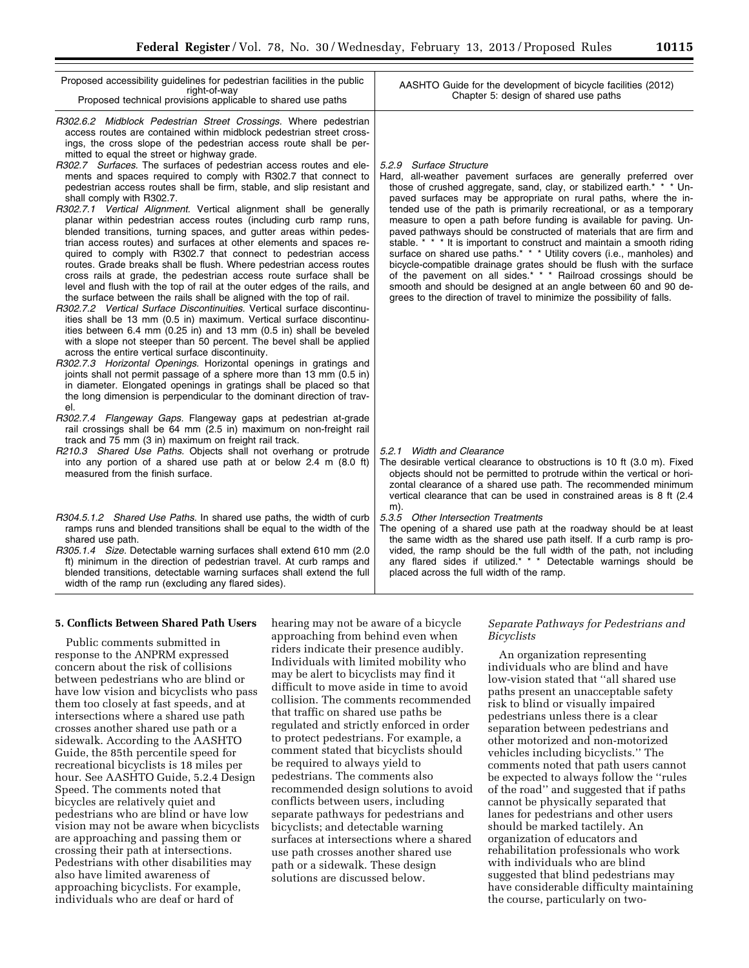| AASHTO Guide for the development of bicycle facilities (2012)<br>Chapter 5: design of shared use paths                                                                                                                                                                                                                                                                                                                                                                                                                                             |
|----------------------------------------------------------------------------------------------------------------------------------------------------------------------------------------------------------------------------------------------------------------------------------------------------------------------------------------------------------------------------------------------------------------------------------------------------------------------------------------------------------------------------------------------------|
| 5.2.9 Surface Structure<br>Hard, all-weather pavement surfaces are generally preferred over<br>those of crushed aggregate, sand, clay, or stabilized earth. <sup>*</sup> * * Un-<br>paved surfaces may be appropriate on rural paths, where the in-<br>tended use of the path is primarily recreational, or as a temporary<br>measure to open a path before funding is available for paving. Un-<br>paved pathways should be constructed of materials that are firm and<br>stable. * * * It is important to construct and maintain a smooth riding |
| R302.6.2 Midblock Pedestrian Street Crossings. Where pedestrian<br>ments and spaces required to comply with R302.7 that connect to<br>pedestrian access routes shall be firm, stable, and slip resistant and                                                                                                                                                                                                                                                                                                                                       |

planar within pedestrian access routes blended transitions, turning spaces, and trian access routes) and surfaces at other elements quired to comply with R302.7 that connect to pedestrian access routes. Grade breaks shall be flush. Where pedestrian access routes cross rails at grade, the pedestrian access route surface shall be level and flush with the top of rail at the outer edges of the rails, and the surface between the rails shall be aligned with the top of rail. *R302.7.2 Vertical Surface Discontinuities.* Vertical surface discontinusurface on shared use paths.\* \* \* Utility covers (i.e., manholes) and bicycle-compatible drainage grates should be flush with the surface of the pavement on all sides.\* \* \* Railroad crossings should be smooth and should be designed at an angle between 60 and 90 degrees to the direction of travel to minimize the possibility of falls.

ities shall be 13 mm (0.5 in) maximum. Vertical surface discontinuities between 6.4 mm (0.25 in) and 13 mm (0.5 in) shall be beveled with a slope not steeper than 50 percent. The bevel shall be applied across the entire vertical surface discontinuity.

*R302.7.3 Horizontal Openings.* Horizontal openings in gratings and joints shall not permit passage of a sphere more than 13 mm (0.5 in) in diameter. Elongated openings in gratings shall be placed so that the long dimension is perpendicular to the dominant direction of travel.

- *R302.7.4 Flangeway Gaps.* Flangeway gaps at pedestrian at-grade rail crossings shall be 64 mm (2.5 in) maximum on non-freight rail track and 75 mm (3 in) maximum on freight rail track.
- *R210.3 Shared Use Paths.* Objects shall not overhang or protrude into any portion of a shared use path at or below 2.4 m (8.0 ft) measured from the finish surface.
- *R304.5.1.2 Shared Use Paths.* In shared use paths, the width of curb ramps runs and blended transitions shall be equal to the width of the shared use path.

*R305.1.4 Size.* Detectable warning surfaces shall extend 610 mm (2.0 ft) minimum in the direction of pedestrian travel. At curb ramps and blended transitions, detectable warning surfaces shall extend the full width of the ramp run (excluding any flared sides).

*5.2.1 Width and Clearance* 

The desirable vertical clearance to obstructions is 10 ft (3.0 m). Fixed objects should not be permitted to protrude within the vertical or horizontal clearance of a shared use path. The recommended minimum vertical clearance that can be used in constrained areas is 8 ft (2.4 m).

*5.3.5 Other Intersection Treatments* 

The opening of a shared use path at the roadway should be at least the same width as the shared use path itself. If a curb ramp is provided, the ramp should be the full width of the path, not including any flared sides if utilized.\* \* \* Detectable warnings should be placed across the full width of the ramp.

# **5. Conflicts Between Shared Path Users**

Public comments submitted in response to the ANPRM expressed concern about the risk of collisions between pedestrians who are blind or have low vision and bicyclists who pass them too closely at fast speeds, and at intersections where a shared use path crosses another shared use path or a sidewalk. According to the AASHTO Guide, the 85th percentile speed for recreational bicyclists is 18 miles per hour. See AASHTO Guide, 5.2.4 Design Speed. The comments noted that bicycles are relatively quiet and pedestrians who are blind or have low vision may not be aware when bicyclists are approaching and passing them or crossing their path at intersections. Pedestrians with other disabilities may also have limited awareness of approaching bicyclists. For example, individuals who are deaf or hard of

hearing may not be aware of a bicycle approaching from behind even when riders indicate their presence audibly. Individuals with limited mobility who may be alert to bicyclists may find it difficult to move aside in time to avoid collision. The comments recommended that traffic on shared use paths be regulated and strictly enforced in order to protect pedestrians. For example, a comment stated that bicyclists should be required to always yield to pedestrians. The comments also recommended design solutions to avoid conflicts between users, including separate pathways for pedestrians and bicyclists; and detectable warning surfaces at intersections where a shared use path crosses another shared use path or a sidewalk. These design solutions are discussed below.

# *Separate Pathways for Pedestrians and Bicyclists*

An organization representing individuals who are blind and have low-vision stated that ''all shared use paths present an unacceptable safety risk to blind or visually impaired pedestrians unless there is a clear separation between pedestrians and other motorized and non-motorized vehicles including bicyclists.'' The comments noted that path users cannot be expected to always follow the ''rules of the road'' and suggested that if paths cannot be physically separated that lanes for pedestrians and other users should be marked tactilely. An organization of educators and rehabilitation professionals who work with individuals who are blind suggested that blind pedestrians may have considerable difficulty maintaining the course, particularly on two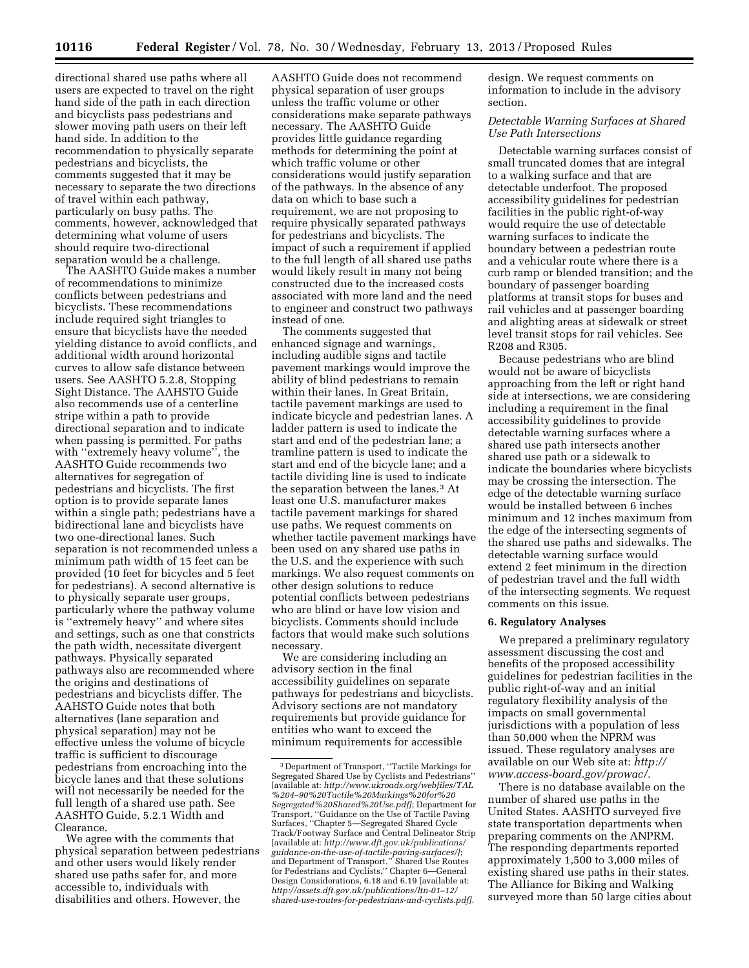directional shared use paths where all users are expected to travel on the right hand side of the path in each direction and bicyclists pass pedestrians and slower moving path users on their left hand side. In addition to the recommendation to physically separate pedestrians and bicyclists, the comments suggested that it may be necessary to separate the two directions of travel within each pathway, particularly on busy paths. The comments, however, acknowledged that determining what volume of users should require two-directional separation would be a challenge.

The AASHTO Guide makes a number of recommendations to minimize conflicts between pedestrians and bicyclists. These recommendations include required sight triangles to ensure that bicyclists have the needed yielding distance to avoid conflicts, and additional width around horizontal curves to allow safe distance between users. See AASHTO 5.2.8, Stopping Sight Distance. The AAHSTO Guide also recommends use of a centerline stripe within a path to provide directional separation and to indicate when passing is permitted. For paths with ''extremely heavy volume'', the AASHTO Guide recommends two alternatives for segregation of pedestrians and bicyclists. The first option is to provide separate lanes within a single path; pedestrians have a bidirectional lane and bicyclists have two one-directional lanes. Such separation is not recommended unless a minimum path width of 15 feet can be provided (10 feet for bicycles and 5 feet for pedestrians). A second alternative is to physically separate user groups, particularly where the pathway volume is ''extremely heavy'' and where sites and settings, such as one that constricts the path width, necessitate divergent pathways. Physically separated pathways also are recommended where the origins and destinations of pedestrians and bicyclists differ. The AAHSTO Guide notes that both alternatives (lane separation and physical separation) may not be effective unless the volume of bicycle traffic is sufficient to discourage pedestrians from encroaching into the bicycle lanes and that these solutions will not necessarily be needed for the full length of a shared use path. See AASHTO Guide, 5.2.1 Width and Clearance.

We agree with the comments that physical separation between pedestrians and other users would likely render shared use paths safer for, and more accessible to, individuals with disabilities and others. However, the

AASHTO Guide does not recommend physical separation of user groups unless the traffic volume or other considerations make separate pathways necessary. The AASHTO Guide provides little guidance regarding methods for determining the point at which traffic volume or other considerations would justify separation of the pathways. In the absence of any data on which to base such a requirement, we are not proposing to require physically separated pathways for pedestrians and bicyclists. The impact of such a requirement if applied to the full length of all shared use paths would likely result in many not being constructed due to the increased costs associated with more land and the need to engineer and construct two pathways instead of one.

The comments suggested that enhanced signage and warnings, including audible signs and tactile pavement markings would improve the ability of blind pedestrians to remain within their lanes. In Great Britain, tactile pavement markings are used to indicate bicycle and pedestrian lanes. A ladder pattern is used to indicate the start and end of the pedestrian lane; a tramline pattern is used to indicate the start and end of the bicycle lane; and a tactile dividing line is used to indicate the separation between the lanes.3 At least one U.S. manufacturer makes tactile pavement markings for shared use paths. We request comments on whether tactile pavement markings have been used on any shared use paths in the U.S. and the experience with such markings. We also request comments on other design solutions to reduce potential conflicts between pedestrians who are blind or have low vision and bicyclists. Comments should include factors that would make such solutions necessary.

We are considering including an advisory section in the final accessibility guidelines on separate pathways for pedestrians and bicyclists. Advisory sections are not mandatory requirements but provide guidance for entities who want to exceed the minimum requirements for accessible

design. We request comments on information to include in the advisory section.

### *Detectable Warning Surfaces at Shared Use Path Intersections*

Detectable warning surfaces consist of small truncated domes that are integral to a walking surface and that are detectable underfoot. The proposed accessibility guidelines for pedestrian facilities in the public right-of-way would require the use of detectable warning surfaces to indicate the boundary between a pedestrian route and a vehicular route where there is a curb ramp or blended transition; and the boundary of passenger boarding platforms at transit stops for buses and rail vehicles and at passenger boarding and alighting areas at sidewalk or street level transit stops for rail vehicles. See R208 and R305.

Because pedestrians who are blind would not be aware of bicyclists approaching from the left or right hand side at intersections, we are considering including a requirement in the final accessibility guidelines to provide detectable warning surfaces where a shared use path intersects another shared use path or a sidewalk to indicate the boundaries where bicyclists may be crossing the intersection. The edge of the detectable warning surface would be installed between 6 inches minimum and 12 inches maximum from the edge of the intersecting segments of the shared use paths and sidewalks. The detectable warning surface would extend 2 feet minimum in the direction of pedestrian travel and the full width of the intersecting segments. We request comments on this issue.

## **6. Regulatory Analyses**

We prepared a preliminary regulatory assessment discussing the cost and benefits of the proposed accessibility guidelines for pedestrian facilities in the public right-of-way and an initial regulatory flexibility analysis of the impacts on small governmental jurisdictions with a population of less than 50,000 when the NPRM was issued. These regulatory analyses are available on our Web site at: *[http://](http://www.access-board.gov/prowac/)  [www.access-board.gov/prowac/.](http://www.access-board.gov/prowac/)* 

There is no database available on the number of shared use paths in the United States. AASHTO surveyed five state transportation departments when preparing comments on the ANPRM. The responding departments reported approximately 1,500 to 3,000 miles of existing shared use paths in their states. The Alliance for Biking and Walking surveyed more than 50 large cities about

<sup>3</sup> Department of Transport, ''Tactile Markings for Segregated Shared Use by Cyclists and Pedestrians'' [available at: *[http://www.ukroads.org/webfiles/TAL](http://www.ukroads.org/webfiles/TAL%204-90%20Tactile%20Markings%20for%20Segregated%20Shared%20Use.pdf) [%204–90%20Tactile%20Markings%20for%20](http://www.ukroads.org/webfiles/TAL%204-90%20Tactile%20Markings%20for%20Segregated%20Shared%20Use.pdf) [Segregated%20Shared%20Use.pdf\]](http://www.ukroads.org/webfiles/TAL%204-90%20Tactile%20Markings%20for%20Segregated%20Shared%20Use.pdf)*; Department for Transport, ''Guidance on the Use of Tactile Paving Surfaces, ''Chapter 5—Segregated Shared Cycle Track/Footway Surface and Central Delineator Strip [available at: *[http://www.dft.gov.uk/publications/](http://www.dft.gov.uk/publications/guidance-on-the-use-of-tactile-paving-surfaces/) [guidance-on-the-use-of-tactile-paving-surfaces/\]](http://www.dft.gov.uk/publications/guidance-on-the-use-of-tactile-paving-surfaces/)*; and Department of Transport,'' Shared Use Routes for Pedestrians and Cyclists,'' Chapter 6—General Design Considerations, 6.18 and 6.19 [available at: *[http://assets.dft.gov.uk/publications/ltn-01–12/](http://assets.dft.gov.uk/publications/ltn-01-12/shared-use-routes-for-pedestrians-and-cyclists.pdf) [shared-use-routes-for-pedestrians-and-cyclists.pdf\].](http://assets.dft.gov.uk/publications/ltn-01-12/shared-use-routes-for-pedestrians-and-cyclists.pdf)*